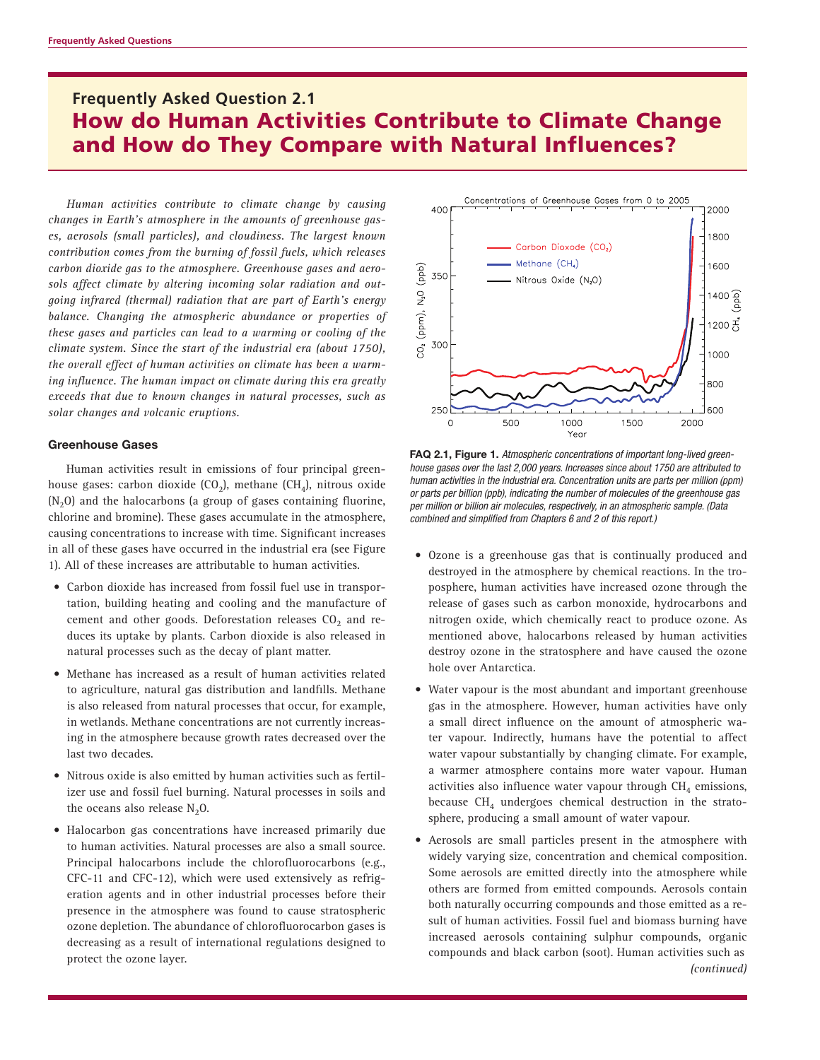# **Frequently Asked Question 2.1** How do Human Activities Contribute to Climate Change and How do They Compare with Natural Influences?

*Human activities contribute to climate change by causing changes in Earth's atmosphere in the amounts of greenhouse gases, aerosols (small particles), and cloudiness. The largest known contribution comes from the burning of fossil fuels, which releases carbon dioxide gas to the atmosphere. Greenhouse gases and aerosols affect climate by altering incoming solar radiation and outgoing infrared (thermal) radiation that are part of Earth's energy balance. Changing the atmospheric abundance or properties of these gases and particles can lead to a warming or cooling of the climate system. Since the start of the industrial era (about 1750), the overall effect of human activities on climate has been a warming influence. The human impact on climate during this era greatly exceeds that due to known changes in natural processes, such as solar changes and volcanic eruptions.*

#### **Greenhouse Gases**

Human activities result in emissions of four principal greenhouse gases: carbon dioxide (CO<sub>2</sub>), methane (CH<sub>4</sub>), nitrous oxide  $(N<sub>2</sub>O)$  and the halocarbons (a group of gases containing fluorine, chlorine and bromine). These gases accumulate in the atmosphere, causing concentrations to increase with time. Significant increases in all of these gases have occurred in the industrial era (see Figure 1). All of these increases are attributable to human activities.

- Carbon dioxide has increased from fossil fuel use in transportation, building heating and cooling and the manufacture of cement and other goods. Deforestation releases  $CO<sub>2</sub>$  and reduces its uptake by plants. Carbon dioxide is also released in natural processes such as the decay of plant matter.
- Methane has increased as a result of human activities related to agriculture, natural gas distribution and landfills. Methane is also released from natural processes that occur, for example, in wetlands. Methane concentrations are not currently increasing in the atmosphere because growth rates decreased over the last two decades.
- Nitrous oxide is also emitted by human activities such as fertilizer use and fossil fuel burning. Natural processes in soils and the oceans also release  $N_2O$ .
- Halocarbon gas concentrations have increased primarily due to human activities. Natural processes are also a small source. Principal halocarbons include the chlorofluorocarbons (e.g., CFC-11 and CFC-12), which were used extensively as refrigeration agents and in other industrial processes before their presence in the atmosphere was found to cause stratospheric ozone depletion. The abundance of chlorofluorocarbon gases is decreasing as a result of international regulations designed to protect the ozone layer.



**FAQ 2.1, Figure 1.** *Atmospheric concentrations of important long-lived greenhouse gases over the last 2,000 years. Increases since about 1750 are attributed to human activities in the industrial era. Concentration units are parts per million (ppm) or parts per billion (ppb), indicating the number of molecules of the greenhouse gas per million or billion air molecules, respectively, in an atmospheric sample. (Data combined and simplified from Chapters 6 and 2 of this report.)*

- Ozone is a greenhouse gas that is continually produced and destroyed in the atmosphere by chemical reactions. In the troposphere, human activities have increased ozone through the release of gases such as carbon monoxide, hydrocarbons and nitrogen oxide, which chemically react to produce ozone. As mentioned above, halocarbons released by human activities destroy ozone in the stratosphere and have caused the ozone hole over Antarctica.
- Water vapour is the most abundant and important greenhouse gas in the atmosphere. However, human activities have only a small direct influence on the amount of atmospheric water vapour. Indirectly, humans have the potential to affect water vapour substantially by changing climate. For example, a warmer atmosphere contains more water vapour. Human activities also influence water vapour through  $CH<sub>4</sub>$  emissions, because  $CH<sub>4</sub>$  undergoes chemical destruction in the stratosphere, producing a small amount of water vapour.
- Aerosols are small particles present in the atmosphere with widely varying size, concentration and chemical composition. Some aerosols are emitted directly into the atmosphere while others are formed from emitted compounds. Aerosols contain both naturally occurring compounds and those emitted as a result of human activities. Fossil fuel and biomass burning have increased aerosols containing sulphur compounds, organic compounds and black carbon (soot). Human activities such as *(continued)*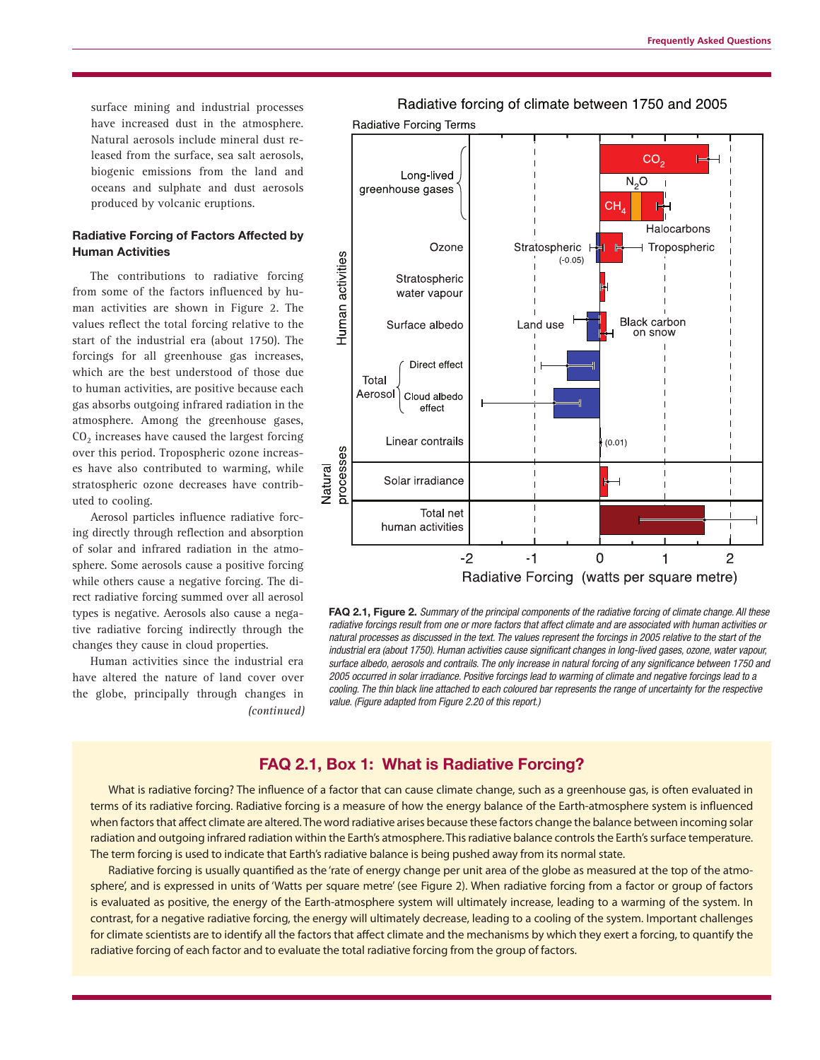surface mining and industrial processes have increased dust in the atmosphere. Natural aerosols include mineral dust released from the surface, sea salt aerosols, biogenic emissions from the land and oceans and sulphate and dust aerosols produced by volcanic eruptions.

## **Radiative Forcing of Factors Affected by Human Activities**

The contributions to radiative forcing from some of the factors influenced by human activities are shown in Figure 2. The values reflect the total forcing relative to the start of the industrial era (about 1750). The forcings for all greenhouse gas increases, which are the best understood of those due to human activities, are positive because each gas absorbs outgoing infrared radiation in the atmosphere. Among the greenhouse gases,  $CO<sub>2</sub>$  increases have caused the largest forcing over this period. Tropospheric ozone increases have also contributed to warming, while stratospheric ozone decreases have contributed to cooling.

Aerosol particles influence radiative forcing directly through reflection and absorption of solar and infrared radiation in the atmosphere. Some aerosols cause a positive forcing while others cause a negative forcing. The direct radiative forcing summed over all aerosol types is negative. Aerosols also cause a negative radiative forcing indirectly through the changes they cause in cloud properties.

Human activities since the industrial era have altered the nature of land cover over the globe, principally through changes in *(continued)*



**FAQ 2.1, Figure 2.** *Summary of the principal components of the radiative forcing of climate change. All these radiative forcings result from one or more factors that affect climate and are associated with human activities or natural processes as discussed in the text. The values represent the forcings in 2005 relative to the start of the industrial era (about 1750). Human activities cause significant changes in long-lived gases, ozone, water vapour, surface albedo, aerosols and contrails. The only increase in natural forcing of any significance between 1750 and 2005 occurred in solar irradiance. Positive forcings lead to warming of climate and negative forcings lead to a cooling. The thin black line attached to each coloured bar represents the range of uncertainty for the respective value. (Figure adapted from Figure 2.20 of this report.)*

# **FAQ 2.1, Box 1: What is Radiative Forcing?**

What is radiative forcing? The influence of a factor that can cause climate change, such as a greenhouse gas, is often evaluated in terms of its radiative forcing. Radiative forcing is a measure of how the energy balance of the Earth-atmosphere system is influenced when factors that affect climate are altered. The word radiative arises because these factors change the balance between incoming solar radiation and outgoing infrared radiation within the Earth's atmosphere. This radiative balance controls the Earth's surface temperature. The term forcing is used to indicate that Earth's radiative balance is being pushed away from its normal state.

Radiative forcing is usually quantified as the 'rate of energy change per unit area of the globe as measured at the top of the atmosphere', and is expressed in units of 'Watts per square metre' (see Figure 2). When radiative forcing from a factor or group of factors is evaluated as positive, the energy of the Earth-atmosphere system will ultimately increase, leading to a warming of the system. In contrast, for a negative radiative forcing, the energy will ultimately decrease, leading to a cooling of the system. Important challenges for climate scientists are to identify all the factors that affect climate and the mechanisms by which they exert a forcing, to quantify the radiative forcing of each factor and to evaluate the total radiative forcing from the group of factors.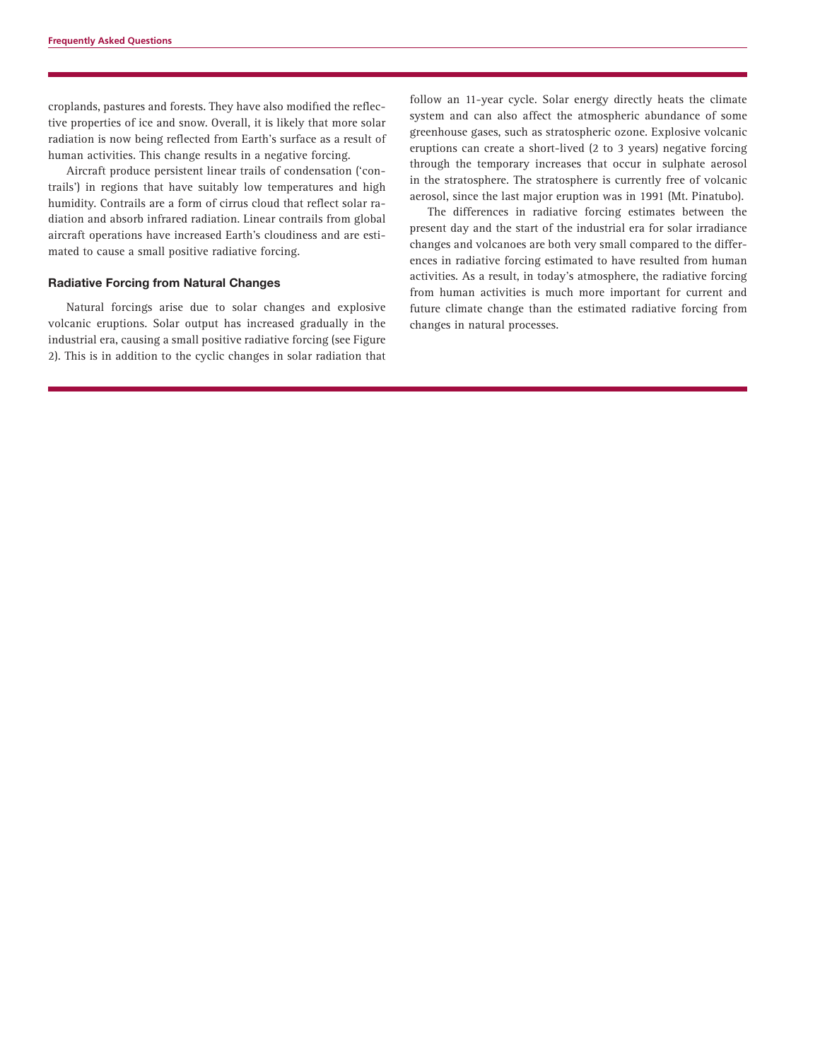croplands, pastures and forests. They have also modified the reflective properties of ice and snow. Overall, it is likely that more solar radiation is now being reflected from Earth's surface as a result of human activities. This change results in a negative forcing.

Aircraft produce persistent linear trails of condensation ('contrails') in regions that have suitably low temperatures and high humidity. Contrails are a form of cirrus cloud that reflect solar radiation and absorb infrared radiation. Linear contrails from global aircraft operations have increased Earth's cloudiness and are estimated to cause a small positive radiative forcing.

#### **Radiative Forcing from Natural Changes**

Natural forcings arise due to solar changes and explosive volcanic eruptions. Solar output has increased gradually in the industrial era, causing a small positive radiative forcing (see Figure 2). This is in addition to the cyclic changes in solar radiation that

follow an 11-year cycle. Solar energy directly heats the climate system and can also affect the atmospheric abundance of some greenhouse gases, such as stratospheric ozone. Explosive volcanic eruptions can create a short-lived (2 to 3 years) negative forcing through the temporary increases that occur in sulphate aerosol in the stratosphere. The stratosphere is currently free of volcanic aerosol, since the last major eruption was in 1991 (Mt. Pinatubo).

The differences in radiative forcing estimates between the present day and the start of the industrial era for solar irradiance changes and volcanoes are both very small compared to the differences in radiative forcing estimated to have resulted from human activities. As a result, in today's atmosphere, the radiative forcing from human activities is much more important for current and future climate change than the estimated radiative forcing from changes in natural processes.